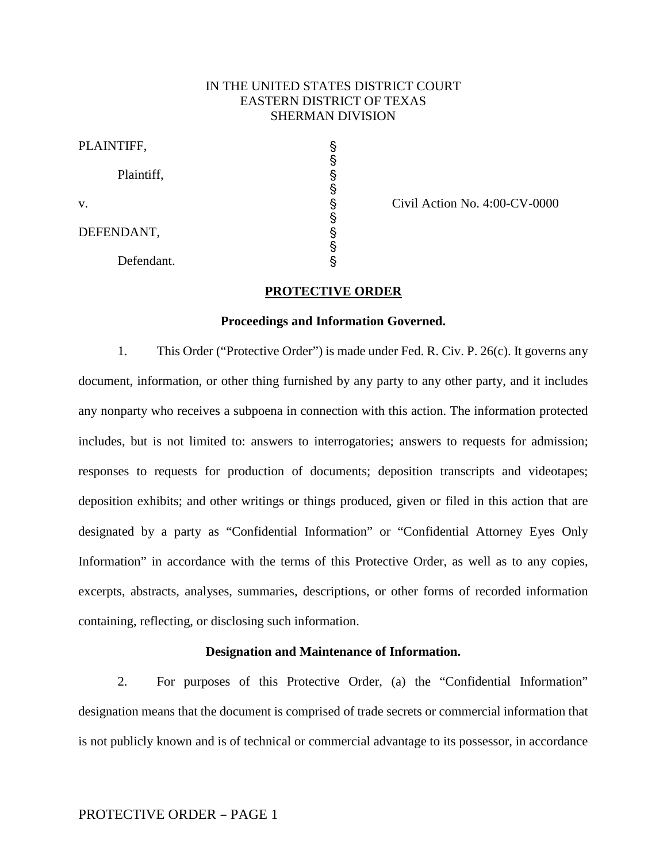# IN THE UNITED STATES DISTRICT COURT EASTERN DISTRICT OF TEXAS SHERMAN DIVISION

| PLAINTIFF, |                               |
|------------|-------------------------------|
| Plaintiff, |                               |
| V.         | Civil Action No. 4:00-CV-0000 |
| DEFENDANT, |                               |
| Defendant. |                               |

#### **PROTECTIVE ORDER**

#### **Proceedings and Information Governed.**

1. This Order ("Protective Order") is made under Fed. R. Civ. P. 26(c). It governs any document, information, or other thing furnished by any party to any other party, and it includes any nonparty who receives a subpoena in connection with this action. The information protected includes, but is not limited to: answers to interrogatories; answers to requests for admission; responses to requests for production of documents; deposition transcripts and videotapes; deposition exhibits; and other writings or things produced, given or filed in this action that are designated by a party as "Confidential Information" or "Confidential Attorney Eyes Only Information" in accordance with the terms of this Protective Order, as well as to any copies, excerpts, abstracts, analyses, summaries, descriptions, or other forms of recorded information containing, reflecting, or disclosing such information.

## **Designation and Maintenance of Information.**

2. For purposes of this Protective Order, (a) the "Confidential Information" designation means that the document is comprised of trade secrets or commercial information that is not publicly known and is of technical or commercial advantage to its possessor, in accordance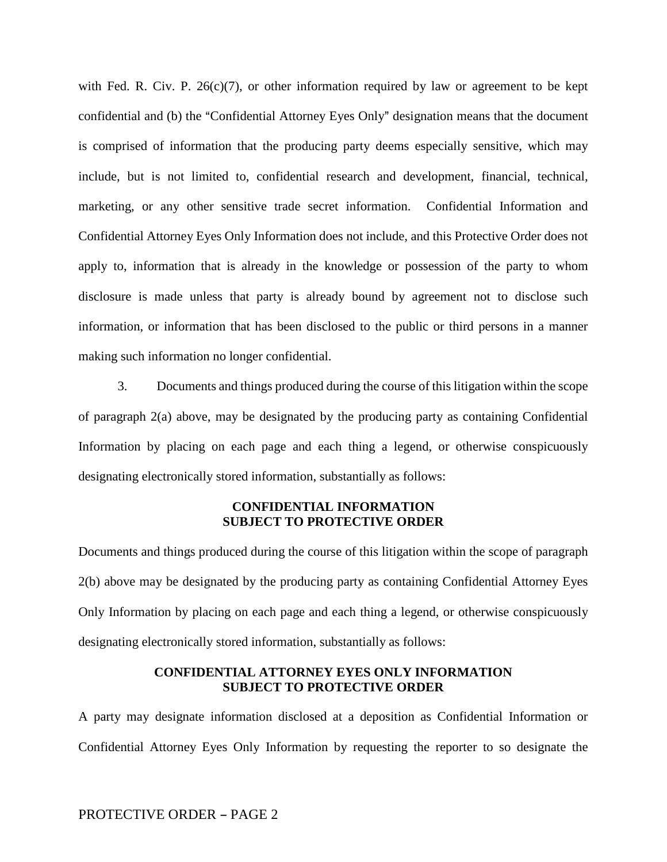with Fed. R. Civ. P.  $26(c)(7)$ , or other information required by law or agreement to be kept confidential and (b) the "Confidential Attorney Eyes Only" designation means that the document is comprised of information that the producing party deems especially sensitive, which may include, but is not limited to, confidential research and development, financial, technical, marketing, or any other sensitive trade secret information. Confidential Information and Confidential Attorney Eyes Only Information does not include, and this Protective Order does not apply to, information that is already in the knowledge or possession of the party to whom disclosure is made unless that party is already bound by agreement not to disclose such information, or information that has been disclosed to the public or third persons in a manner making such information no longer confidential.

3. Documents and things produced during the course of this litigation within the scope of paragraph 2(a) above, may be designated by the producing party as containing Confidential Information by placing on each page and each thing a legend, or otherwise conspicuously designating electronically stored information, substantially as follows:

# **CONFIDENTIAL INFORMATION SUBJECT TO PROTECTIVE ORDER**

Documents and things produced during the course of this litigation within the scope of paragraph 2(b) above may be designated by the producing party as containing Confidential Attorney Eyes Only Information by placing on each page and each thing a legend, or otherwise conspicuously designating electronically stored information, substantially as follows:

# **CONFIDENTIAL ATTORNEY EYES ONLY INFORMATION SUBJECT TO PROTECTIVE ORDER**

A party may designate information disclosed at a deposition as Confidential Information or Confidential Attorney Eyes Only Information by requesting the reporter to so designate the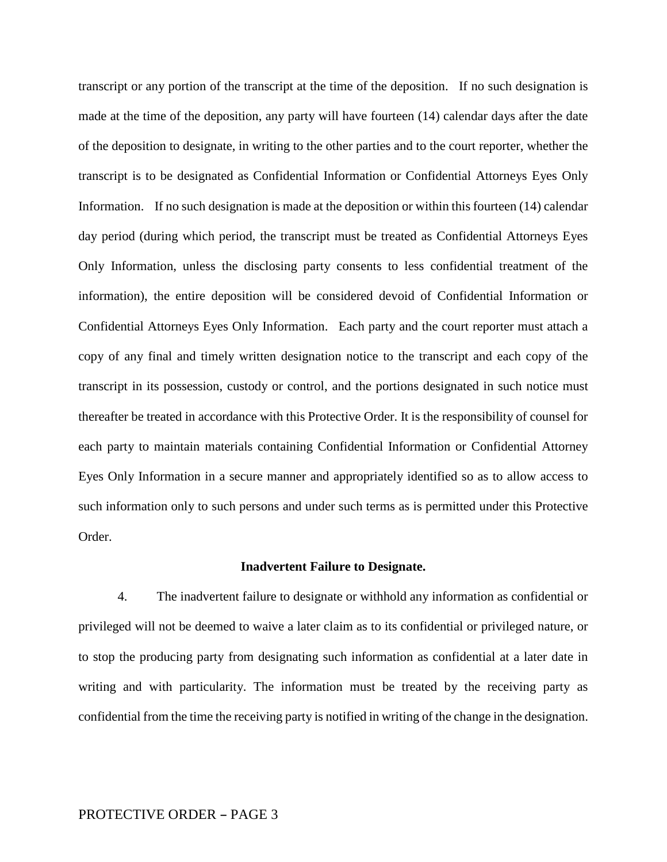transcript or any portion of the transcript at the time of the deposition. If no such designation is made at the time of the deposition, any party will have fourteen (14) calendar days after the date of the deposition to designate, in writing to the other parties and to the court reporter, whether the transcript is to be designated as Confidential Information or Confidential Attorneys Eyes Only Information. If no such designation is made at the deposition or within this fourteen (14) calendar day period (during which period, the transcript must be treated as Confidential Attorneys Eyes Only Information, unless the disclosing party consents to less confidential treatment of the information), the entire deposition will be considered devoid of Confidential Information or Confidential Attorneys Eyes Only Information. Each party and the court reporter must attach a copy of any final and timely written designation notice to the transcript and each copy of the transcript in its possession, custody or control, and the portions designated in such notice must thereafter be treated in accordance with this Protective Order. It is the responsibility of counsel for each party to maintain materials containing Confidential Information or Confidential Attorney Eyes Only Information in a secure manner and appropriately identified so as to allow access to such information only to such persons and under such terms as is permitted under this Protective Order.

#### **Inadvertent Failure to Designate.**

4. The inadvertent failure to designate or withhold any information as confidential or privileged will not be deemed to waive a later claim as to its confidential or privileged nature, or to stop the producing party from designating such information as confidential at a later date in writing and with particularity. The information must be treated by the receiving party as confidential from the time the receiving party is notified in writing of the change in the designation.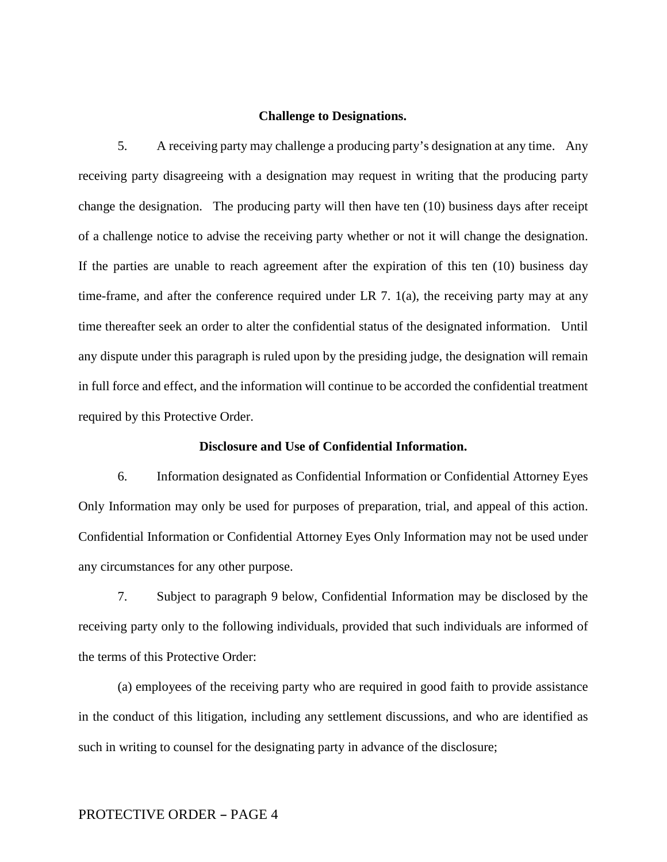## **Challenge to Designations.**

5. A receiving party may challenge a producing party's designation at any time. Any receiving party disagreeing with a designation may request in writing that the producing party change the designation. The producing party will then have ten (10) business days after receipt of a challenge notice to advise the receiving party whether or not it will change the designation. If the parties are unable to reach agreement after the expiration of this ten (10) business day time-frame, and after the conference required under LR 7.  $1(a)$ , the receiving party may at any time thereafter seek an order to alter the confidential status of the designated information. Until any dispute under this paragraph is ruled upon by the presiding judge, the designation will remain in full force and effect, and the information will continue to be accorded the confidential treatment required by this Protective Order.

## **Disclosure and Use of Confidential Information.**

6. Information designated as Confidential Information or Confidential Attorney Eyes Only Information may only be used for purposes of preparation, trial, and appeal of this action. Confidential Information or Confidential Attorney Eyes Only Information may not be used under any circumstances for any other purpose.

7. Subject to paragraph 9 below, Confidential Information may be disclosed by the receiving party only to the following individuals, provided that such individuals are informed of the terms of this Protective Order:

(a) employees of the receiving party who are required in good faith to provide assistance in the conduct of this litigation, including any settlement discussions, and who are identified as such in writing to counsel for the designating party in advance of the disclosure;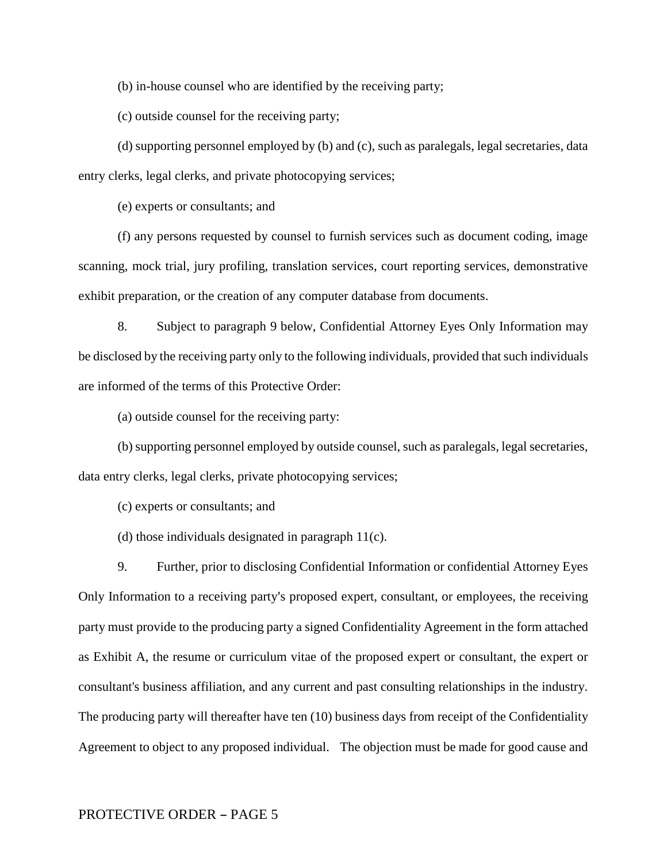(b) in-house counsel who are identified by the receiving party;

(c) outside counsel for the receiving party;

(d) supporting personnel employed by (b) and (c), such as paralegals, legal secretaries, data entry clerks, legal clerks, and private photocopying services;

(e) experts or consultants; and

(f) any persons requested by counsel to furnish services such as document coding, image scanning, mock trial, jury profiling, translation services, court reporting services, demonstrative exhibit preparation, or the creation of any computer database from documents.

8. Subject to paragraph 9 below, Confidential Attorney Eyes Only Information may be disclosed by the receiving party only to the following individuals, provided that such individuals are informed of the terms of this Protective Order:

(a) outside counsel for the receiving party:

(b) supporting personnel employed by outside counsel, such as paralegals, legal secretaries, data entry clerks, legal clerks, private photocopying services;

(c) experts or consultants; and

(d) those individuals designated in paragraph 11(c).

9. Further, prior to disclosing Confidential Information or confidential Attorney Eyes Only Information to a receiving party's proposed expert, consultant, or employees, the receiving party must provide to the producing party a signed Confidentiality Agreement in the form attached as Exhibit A, the resume or curriculum vitae of the proposed expert or consultant, the expert or consultant's business affiliation, and any current and past consulting relationships in the industry. The producing party will thereafter have ten (10) business days from receipt of the Confidentiality Agreement to object to any proposed individual. The objection must be made for good cause and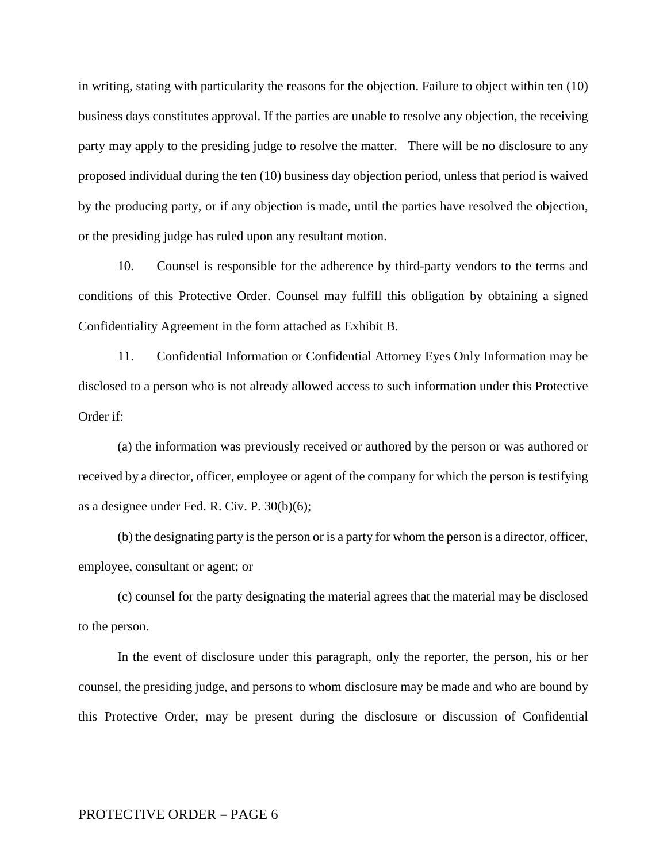in writing, stating with particularity the reasons for the objection. Failure to object within ten (10) business days constitutes approval. If the parties are unable to resolve any objection, the receiving party may apply to the presiding judge to resolve the matter. There will be no disclosure to any proposed individual during the ten (10) business day objection period, unless that period is waived by the producing party, or if any objection is made, until the parties have resolved the objection, or the presiding judge has ruled upon any resultant motion.

10. Counsel is responsible for the adherence by third-party vendors to the terms and conditions of this Protective Order. Counsel may fulfill this obligation by obtaining a signed Confidentiality Agreement in the form attached as Exhibit B.

11. Confidential Information or Confidential Attorney Eyes Only Information may be disclosed to a person who is not already allowed access to such information under this Protective Order if:

(a) the information was previously received or authored by the person or was authored or received by a director, officer, employee or agent of the company for which the person is testifying as a designee under Fed. R. Civ. P. 30(b)(6);

(b) the designating party is the person or is a party for whom the person is a director, officer, employee, consultant or agent; or

(c) counsel for the party designating the material agrees that the material may be disclosed to the person.

In the event of disclosure under this paragraph, only the reporter, the person, his or her counsel, the presiding judge, and persons to whom disclosure may be made and who are bound by this Protective Order, may be present during the disclosure or discussion of Confidential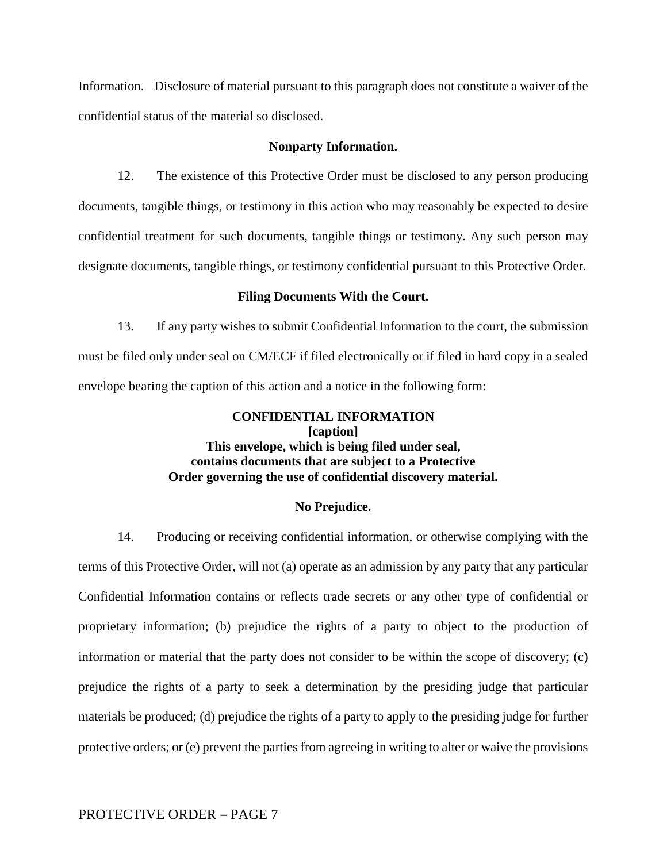Information. Disclosure of material pursuant to this paragraph does not constitute a waiver of the confidential status of the material so disclosed.

## **Nonparty Information.**

12. The existence of this Protective Order must be disclosed to any person producing documents, tangible things, or testimony in this action who may reasonably be expected to desire confidential treatment for such documents, tangible things or testimony. Any such person may designate documents, tangible things, or testimony confidential pursuant to this Protective Order.

#### **Filing Documents With the Court.**

13. If any party wishes to submit Confidential Information to the court, the submission must be filed only under seal on CM/ECF if filed electronically or if filed in hard copy in a sealed envelope bearing the caption of this action and a notice in the following form:

# **CONFIDENTIAL INFORMATION [caption] This envelope, which is being filed under seal, contains documents that are subject to a Protective Order governing the use of confidential discovery material.**

## **No Prejudice.**

14. Producing or receiving confidential information, or otherwise complying with the terms of this Protective Order, will not (a) operate as an admission by any party that any particular Confidential Information contains or reflects trade secrets or any other type of confidential or proprietary information; (b) prejudice the rights of a party to object to the production of information or material that the party does not consider to be within the scope of discovery; (c) prejudice the rights of a party to seek a determination by the presiding judge that particular materials be produced; (d) prejudice the rights of a party to apply to the presiding judge for further protective orders; or (e) prevent the parties from agreeing in writing to alter or waive the provisions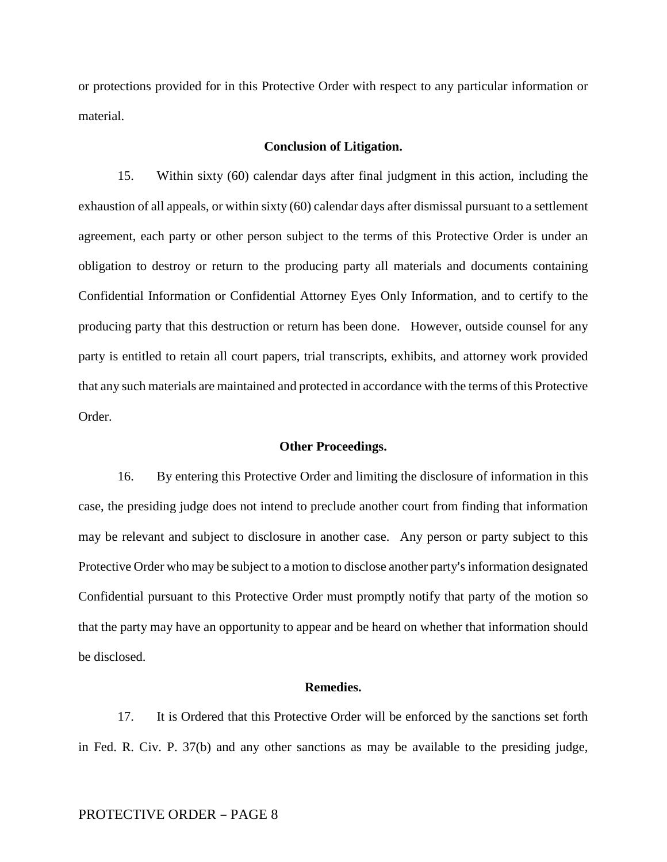or protections provided for in this Protective Order with respect to any particular information or material.

## **Conclusion of Litigation.**

15. Within sixty (60) calendar days after final judgment in this action, including the exhaustion of all appeals, or within sixty (60) calendar days after dismissal pursuant to a settlement agreement, each party or other person subject to the terms of this Protective Order is under an obligation to destroy or return to the producing party all materials and documents containing Confidential Information or Confidential Attorney Eyes Only Information, and to certify to the producing party that this destruction or return has been done. However, outside counsel for any party is entitled to retain all court papers, trial transcripts, exhibits, and attorney work provided that any such materials are maintained and protected in accordance with the terms of this Protective Order.

## **Other Proceedings.**

16. By entering this Protective Order and limiting the disclosure of information in this case, the presiding judge does not intend to preclude another court from finding that information may be relevant and subject to disclosure in another case. Any person or party subject to this Protective Order who may be subject to a motion to disclose another party's information designated Confidential pursuant to this Protective Order must promptly notify that party of the motion so that the party may have an opportunity to appear and be heard on whether that information should be disclosed.

### **Remedies.**

17. It is Ordered that this Protective Order will be enforced by the sanctions set forth in Fed. R. Civ. P. 37(b) and any other sanctions as may be available to the presiding judge,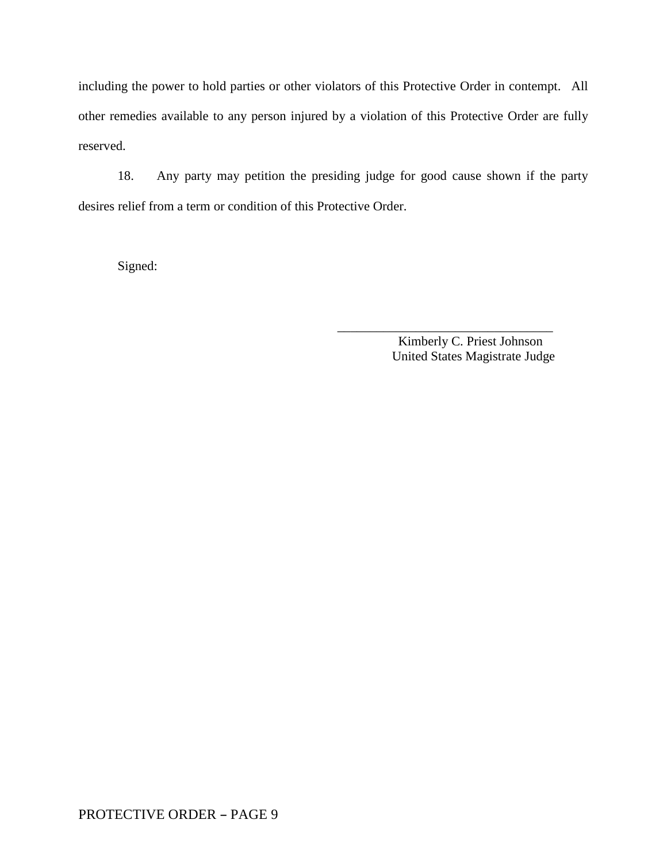including the power to hold parties or other violators of this Protective Order in contempt. All other remedies available to any person injured by a violation of this Protective Order are fully reserved.

18. Any party may petition the presiding judge for good cause shown if the party desires relief from a term or condition of this Protective Order.

 $\frac{1}{\sqrt{2}}$  ,  $\frac{1}{\sqrt{2}}$  ,  $\frac{1}{\sqrt{2}}$  ,  $\frac{1}{\sqrt{2}}$  ,  $\frac{1}{\sqrt{2}}$  ,  $\frac{1}{\sqrt{2}}$  ,  $\frac{1}{\sqrt{2}}$  ,  $\frac{1}{\sqrt{2}}$  ,  $\frac{1}{\sqrt{2}}$  ,  $\frac{1}{\sqrt{2}}$  ,  $\frac{1}{\sqrt{2}}$  ,  $\frac{1}{\sqrt{2}}$  ,  $\frac{1}{\sqrt{2}}$  ,  $\frac{1}{\sqrt{2}}$  ,  $\frac{1}{\sqrt{2}}$ 

Signed:

Kimberly C. Priest Johnson United States Magistrate Judge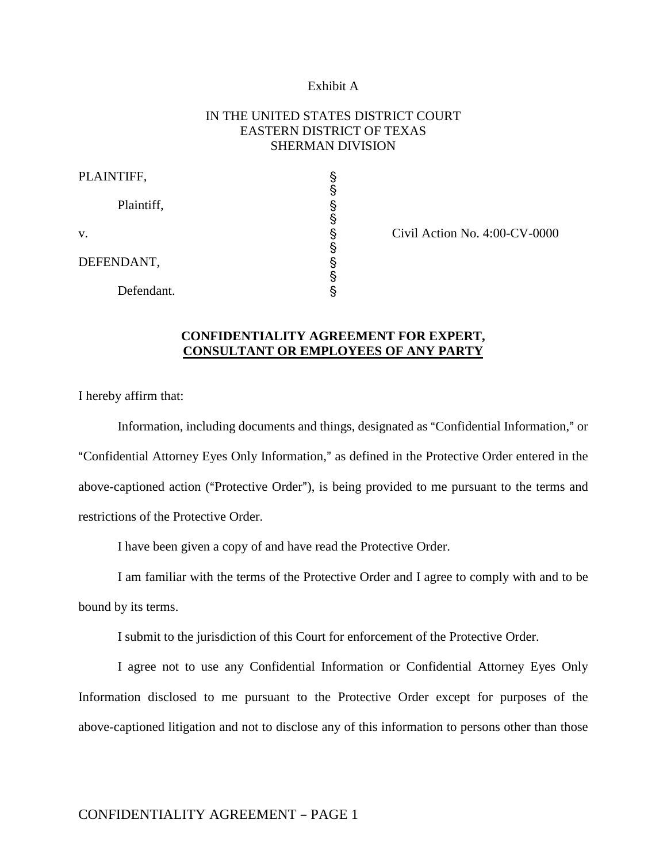## Exhibit A

# IN THE UNITED STATES DISTRICT COURT EASTERN DISTRICT OF TEXAS SHERMAN DIVISION

| PLAINTIFF, |   |
|------------|---|
| Plaintiff, | § |
| V.         | § |
| DEFENDANT, | § |
| Defendant. |   |

 $Civil$  Action No. 4:00- $CV-0000$ 

# **CONFIDENTIALITY AGREEMENT FOR EXPERT, CONSULTANT OR EMPLOYEES OF ANY PARTY**

I hereby affirm that:

Information, including documents and things, designated as "Confidential Information," or "Confidential Attorney Eyes Only Information," as defined in the Protective Order entered in the above-captioned action ("Protective Order"), is being provided to me pursuant to the terms and restrictions of the Protective Order.

I have been given a copy of and have read the Protective Order.

I am familiar with the terms of the Protective Order and I agree to comply with and to be bound by its terms.

I submit to the jurisdiction of this Court for enforcement of the Protective Order.

I agree not to use any Confidential Information or Confidential Attorney Eyes Only Information disclosed to me pursuant to the Protective Order except for purposes of the above-captioned litigation and not to disclose any of this information to persons other than those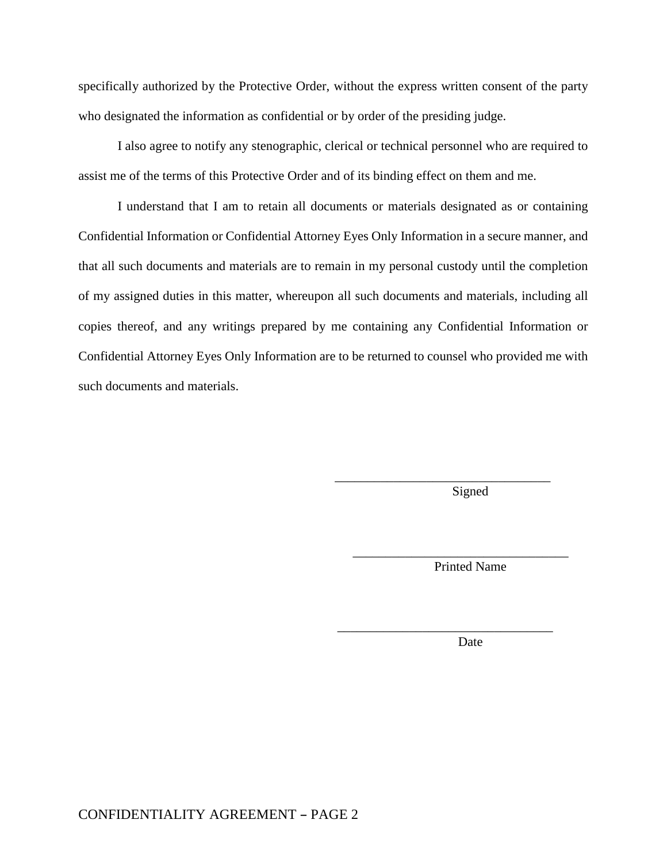specifically authorized by the Protective Order, without the express written consent of the party who designated the information as confidential or by order of the presiding judge.

I also agree to notify any stenographic, clerical or technical personnel who are required to assist me of the terms of this Protective Order and of its binding effect on them and me.

I understand that I am to retain all documents or materials designated as or containing Confidential Information or Confidential Attorney Eyes Only Information in a secure manner, and that all such documents and materials are to remain in my personal custody until the completion of my assigned duties in this matter, whereupon all such documents and materials, including all copies thereof, and any writings prepared by me containing any Confidential Information or Confidential Attorney Eyes Only Information are to be returned to counsel who provided me with such documents and materials.

 $\overline{\phantom{a}}$  ,  $\overline{\phantom{a}}$  ,  $\overline{\phantom{a}}$  ,  $\overline{\phantom{a}}$  ,  $\overline{\phantom{a}}$  ,  $\overline{\phantom{a}}$  ,  $\overline{\phantom{a}}$  ,  $\overline{\phantom{a}}$  ,  $\overline{\phantom{a}}$  ,  $\overline{\phantom{a}}$  ,  $\overline{\phantom{a}}$  ,  $\overline{\phantom{a}}$  ,  $\overline{\phantom{a}}$  ,  $\overline{\phantom{a}}$  ,  $\overline{\phantom{a}}$  ,  $\overline{\phantom{a}}$ 

 $\overline{\phantom{a}}$  ,  $\overline{\phantom{a}}$  ,  $\overline{\phantom{a}}$  ,  $\overline{\phantom{a}}$  ,  $\overline{\phantom{a}}$  ,  $\overline{\phantom{a}}$  ,  $\overline{\phantom{a}}$  ,  $\overline{\phantom{a}}$  ,  $\overline{\phantom{a}}$  ,  $\overline{\phantom{a}}$  ,  $\overline{\phantom{a}}$  ,  $\overline{\phantom{a}}$  ,  $\overline{\phantom{a}}$  ,  $\overline{\phantom{a}}$  ,  $\overline{\phantom{a}}$  ,  $\overline{\phantom{a}}$ 

Signed

Printed Name

\_\_\_\_\_\_\_\_\_\_\_\_\_\_\_\_\_\_\_\_\_\_\_\_\_\_\_\_\_\_\_\_\_

Date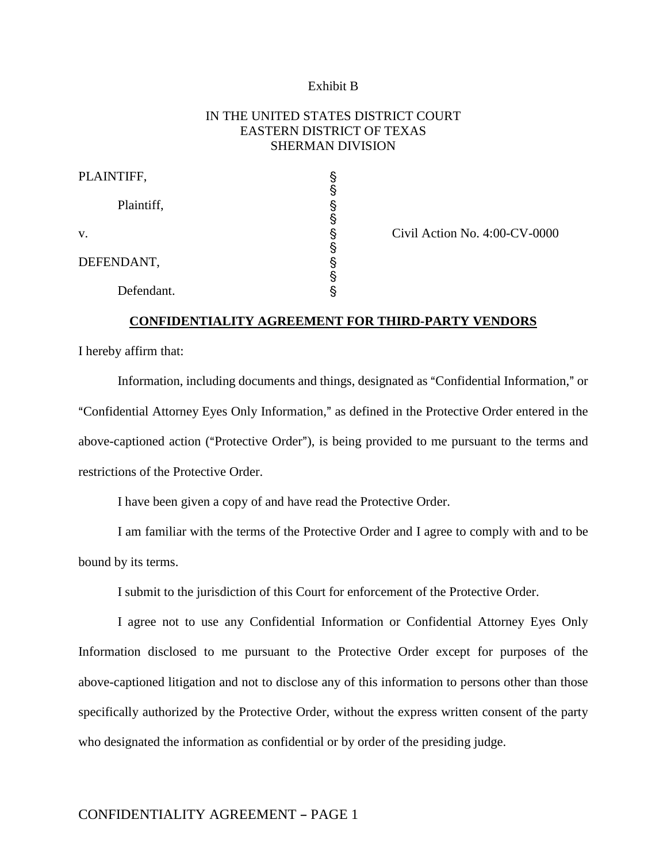## Exhibit B

# IN THE UNITED STATES DISTRICT COURT EASTERN DISTRICT OF TEXAS SHERMAN DIVISION

| PLAINTIFF, |   |
|------------|---|
| Plaintiff, | § |
| V.         | § |
| DEFENDANT, |   |
| Defendant. |   |

 $Civil$  Action No. 4:00- $CV-0000$ 

## **CONFIDENTIALITY AGREEMENT FOR THIRD-PARTY VENDORS**

I hereby affirm that:

Information, including documents and things, designated as "Confidential Information," or "Confidential Attorney Eyes Only Information," as defined in the Protective Order entered in the above-captioned action ("Protective Order"), is being provided to me pursuant to the terms and restrictions of the Protective Order.

I have been given a copy of and have read the Protective Order.

I am familiar with the terms of the Protective Order and I agree to comply with and to be bound by its terms.

I submit to the jurisdiction of this Court for enforcement of the Protective Order.

I agree not to use any Confidential Information or Confidential Attorney Eyes Only Information disclosed to me pursuant to the Protective Order except for purposes of the above-captioned litigation and not to disclose any of this information to persons other than those specifically authorized by the Protective Order, without the express written consent of the party who designated the information as confidential or by order of the presiding judge.